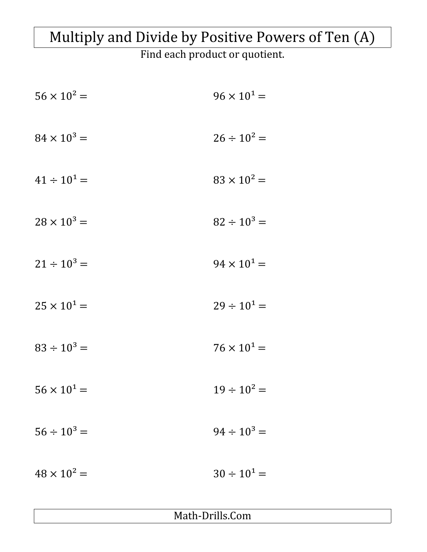## Multiply and Divide by Positive Powers of Ten (A)

Find each product or quotient.

| $56 \times 10^2 =$   | $96 \times 10^{1} =$ |
|----------------------|----------------------|
| $84 \times 10^3 =$   | $26 \div 10^2 =$     |
| $41 \div 10^{1} =$   | $83 \times 10^2 =$   |
| $28 \times 10^3 =$   | $82 \div 10^3 =$     |
| $21 \div 10^3 =$     | $94 \times 10^{1} =$ |
| $25 \times 10^{1} =$ | $29 \div 10^1 =$     |
| $83 \div 10^3 =$     | $76 \times 10^{1} =$ |
| $56 \times 10^{1} =$ | $19 \div 10^2 =$     |
| $56 \div 10^3 =$     | $94 \div 10^3 =$     |
| $48 \times 10^2 =$   | $30 \div 10^1 =$     |